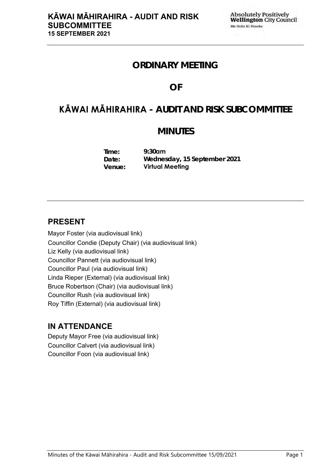## **ORDINARY MEETING**

## **OF**

# **KĀWAI MĀHIRAHIRA - AUDIT AND RISK SUBCOMMITTEE**

## **MINUTES**

**Time: Date: Venue: 9:30am Wednesday, 15 September 2021 Virtual Meeting**

## **PRESENT**

Mayor Foster (via audiovisual link) Councillor Condie (Deputy Chair) (via audiovisual link) Liz Kelly (via audiovisual link) Councillor Pannett (via audiovisual link) Councillor Paul (via audiovisual link) Linda Rieper (External) (via audiovisual link) Bruce Robertson (Chair) (via audiovisual link) Councillor Rush (via audiovisual link) Roy Tiffin (External) (via audiovisual link)

## **IN ATTENDANCE**

Deputy Mayor Free (via audiovisual link) Councillor Calvert (via audiovisual link) Councillor Foon (via audiovisual link)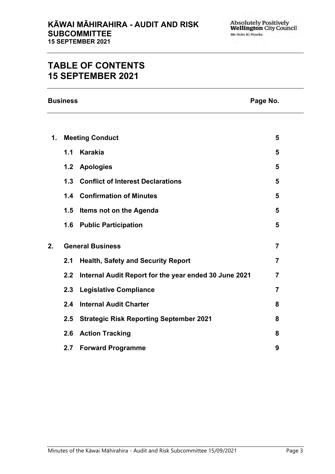## **TABLE OF CONTENTS 15 SEPTEMBER 2021**

**Business Page No.**

| 1. | <b>Meeting Conduct</b>  |                                                           |                |
|----|-------------------------|-----------------------------------------------------------|----------------|
|    | 1.1                     | <b>Karakia</b>                                            | 5              |
|    |                         | 1.2 Apologies                                             | 5              |
|    |                         | 1.3 Conflict of Interest Declarations                     | 5              |
|    |                         | <b>1.4 Confirmation of Minutes</b>                        | 5              |
|    | 1.5                     | Items not on the Agenda                                   | 5              |
|    |                         | 1.6 Public Participation                                  | 5              |
| 2. | <b>General Business</b> |                                                           |                |
|    | 2.1                     | <b>Health, Safety and Security Report</b>                 | $\overline{7}$ |
|    |                         | 2.2 Internal Audit Report for the year ended 30 June 2021 | $\overline{7}$ |
|    | 2.3                     | <b>Legislative Compliance</b>                             | $\overline{7}$ |
|    | 2.4                     | <b>Internal Audit Charter</b>                             | 8              |
|    | 2.5                     | <b>Strategic Risk Reporting September 2021</b>            | 8              |
|    | 2.6                     | <b>Action Tracking</b>                                    | 8              |
|    | 2.7                     | <b>Forward Programme</b>                                  | 9              |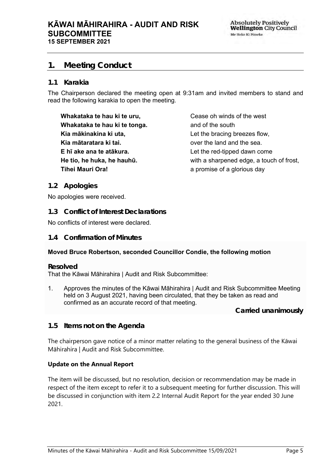### <span id="page-4-0"></span>**1. Meeting Conduct**

#### **1.1 Karakia**

The Chairperson declared the meeting open at 9:31am and invited members to stand and read the following karakia to open the meeting.

**Whakataka te hau ki te uru, Whakataka te hau ki te tonga. Kia mākinakina ki uta, Kia mātaratara ki tai. E hī ake ana te atākura. He tio, he huka, he hauhū. Tihei Mauri Ora!**

Cease oh winds of the west and of the south Let the bracing breezes flow, over the land and the sea. Let the red-tipped dawn come with a sharpened edge, a touch of frost, a promise of a glorious day

#### <span id="page-4-1"></span>**1.2 Apologies**

No apologies were received.

<span id="page-4-2"></span>**1.3 Conflict of Interest Declarations**

No conflicts of interest were declared.

#### <span id="page-4-3"></span>**1.4 Confirmation of Minutes**

#### **Moved Bruce Robertson, seconded Councillor Condie, the following motion**

#### **Resolved**

That the Kāwai Māhirahira | Audit and Risk Subcommittee:

1. Approves the minutes of the Kāwai Māhirahira | Audit and Risk Subcommittee Meeting held on 3 August 2021, having been circulated, that they be taken as read and confirmed as an accurate record of that meeting.

**Carried unanimously**

<span id="page-4-4"></span>**1.5 Items not on the Agenda**

The chairperson gave notice of a minor matter relating to the general business of the Kāwai Māhirahira | Audit and Risk Subcommittee.

#### **Update on the Annual Report**

The item will be discussed, but no resolution, decision or recommendation may be made in respect of the item except to refer it to a subsequent meeting for further discussion. This will be discussed in conjunction with item 2.2 Internal Audit Report for the year ended 30 June 2021.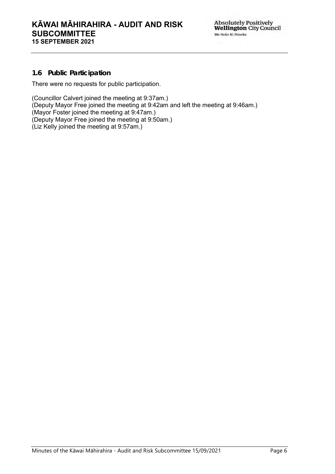### **1.6 Public Participation**

There were no requests for public participation.

(Councillor Calvert joined the meeting at 9:37am.) (Deputy Mayor Free joined the meeting at 9:42am and left the meeting at 9:46am.) (Mayor Foster joined the meeting at 9:47am.) (Deputy Mayor Free joined the meeting at 9:50am.) (Liz Kelly joined the meeting at 9:57am.)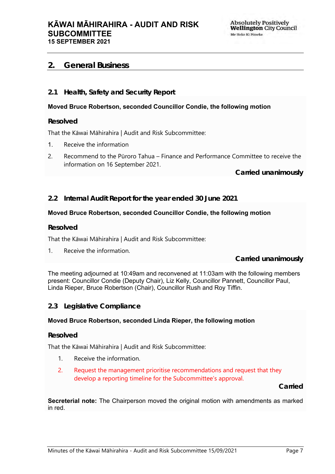#### **KĀWAI MĀHIRAHIRA - AUDIT AND RISK SUBCOMMITTEE 15 SEPTEMBER 2021**

### <span id="page-6-0"></span>**2. General Business**

#### <span id="page-6-1"></span>**2.1 Health, Safety and Security Report**

#### **Moved Bruce Robertson, seconded Councillor Condie, the following motion**

**Resolved**

That the Kāwai Māhirahira | Audit and Risk Subcommittee:

- 1. Receive the information
- 2. Recommend to the Pūroro Tahua Finance and Performance Committee to receive the information on 16 September 2021.

**Carried unanimously**

<span id="page-6-2"></span>**2.2 Internal Audit Report for the year ended 30 June 2021**

#### **Moved Bruce Robertson, seconded Councillor Condie, the following motion**

**Resolved**

That the Kāwai Māhirahira | Audit and Risk Subcommittee:

1. Receive the information.

**Carried unanimously**

The meeting adjourned at 10:49am and reconvened at 11:03am with the following members present: Councillor Condie (Deputy Chair), Liz Kelly, Councillor Pannett, Councillor Paul, Linda Rieper, Bruce Robertson (Chair), Councillor Rush and Roy Tiffin.

#### <span id="page-6-3"></span>**2.3 Legislative Compliance**

#### **Moved Bruce Robertson, seconded Linda Rieper, the following motion**

#### **Resolved**

That the Kāwai Māhirahira | Audit and Risk Subcommittee:

- 1. Receive the information.
- 2. Request the management prioritise recommendations and request that they develop a reporting timeline for the Subcommittee's approval.

**Carried**

**Secreterial note:** The Chairperson moved the original motion with amendments as marked in red.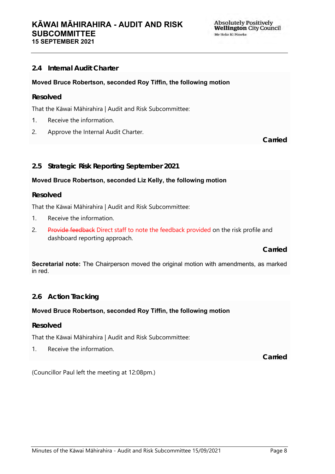### <span id="page-7-0"></span>**2.4 Internal Audit Charter**

#### **Moved Bruce Robertson, seconded Roy Tiffin, the following motion**

#### **Resolved**

That the Kāwai Māhirahira | Audit and Risk Subcommittee:

- 1. Receive the information.
- 2. Approve the Internal Audit Charter.

**Carried**

#### <span id="page-7-1"></span>**2.5 Strategic Risk Reporting September 2021**

#### **Moved Bruce Robertson, seconded Liz Kelly, the following motion**

#### **Resolved**

That the Kāwai Māhirahira | Audit and Risk Subcommittee:

- 1. Receive the information.
- 2. Provide feedback Direct staff to note the feedback provided on the risk profile and dashboard reporting approach.

**Carried**

**Secretarial note:** The Chairperson moved the original motion with amendments, as marked in red.

#### <span id="page-7-2"></span>**2.6 Action Tracking**

#### **Moved Bruce Robertson, seconded Roy Tiffin, the following motion**

#### **Resolved**

That the Kāwai Māhirahira | Audit and Risk Subcommittee:

1. Receive the information.

**Carried**

(Councillor Paul left the meeting at 12:08pm.)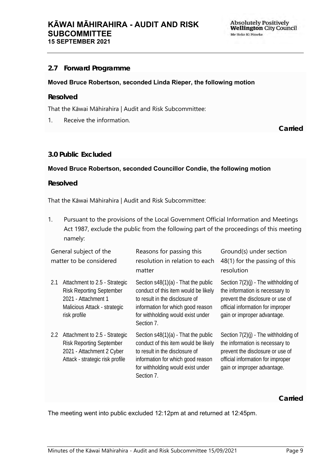### <span id="page-8-0"></span>**2.7 Forward Programme**

#### **Moved Bruce Robertson, seconded Linda Rieper, the following motion**

#### **Resolved**

That the Kāwai Māhirahira | Audit and Risk Subcommittee:

1. Receive the information.

**Carried**

#### **3.0 Public Excluded**

#### **Moved Bruce Robertson, seconded Councillor Condie, the following motion**

#### **Resolved**

That the Kāwai Māhirahira | Audit and Risk Subcommittee:

1. Pursuant to the provisions of the Local Government Official Information and Meetings Act 1987, exclude the public from the following part of the proceedings of this meeting namely:

| General subject of the<br>matter to be considered |                                                                                                                                         | Reasons for passing this<br>resolution in relation to each<br>matter                                                                                                                                    | Ground(s) under section<br>48(1) for the passing of this<br>resolution                                                                                                            |
|---------------------------------------------------|-----------------------------------------------------------------------------------------------------------------------------------------|---------------------------------------------------------------------------------------------------------------------------------------------------------------------------------------------------------|-----------------------------------------------------------------------------------------------------------------------------------------------------------------------------------|
| 2.1                                               | Attachment to 2.5 - Strategic<br><b>Risk Reporting September</b><br>2021 - Attachment 1<br>Malicious Attack - strategic<br>risk profile | Section $s48(1)(a)$ - That the public<br>conduct of this item would be likely<br>to result in the disclosure of<br>information for which good reason<br>for withholding would exist under<br>Section 7. | Section $7(2)(i)$ - The withholding of<br>the information is necessary to<br>prevent the disclosure or use of<br>official information for improper<br>gain or improper advantage. |
| $2.2^{\circ}$                                     | Attachment to 2.5 - Strategic<br><b>Risk Reporting September</b><br>2021 - Attachment 2 Cyber<br>Attack - strategic risk profile        | Section $s48(1)(a)$ - That the public<br>conduct of this item would be likely<br>to result in the disclosure of<br>information for which good reason<br>for withholding would exist under<br>Section 7. | Section $7(2)(i)$ - The withholding of<br>the information is necessary to<br>prevent the disclosure or use of<br>official information for improper<br>gain or improper advantage. |

**Carried**

The meeting went into public excluded 12:12pm at and returned at 12:45pm.